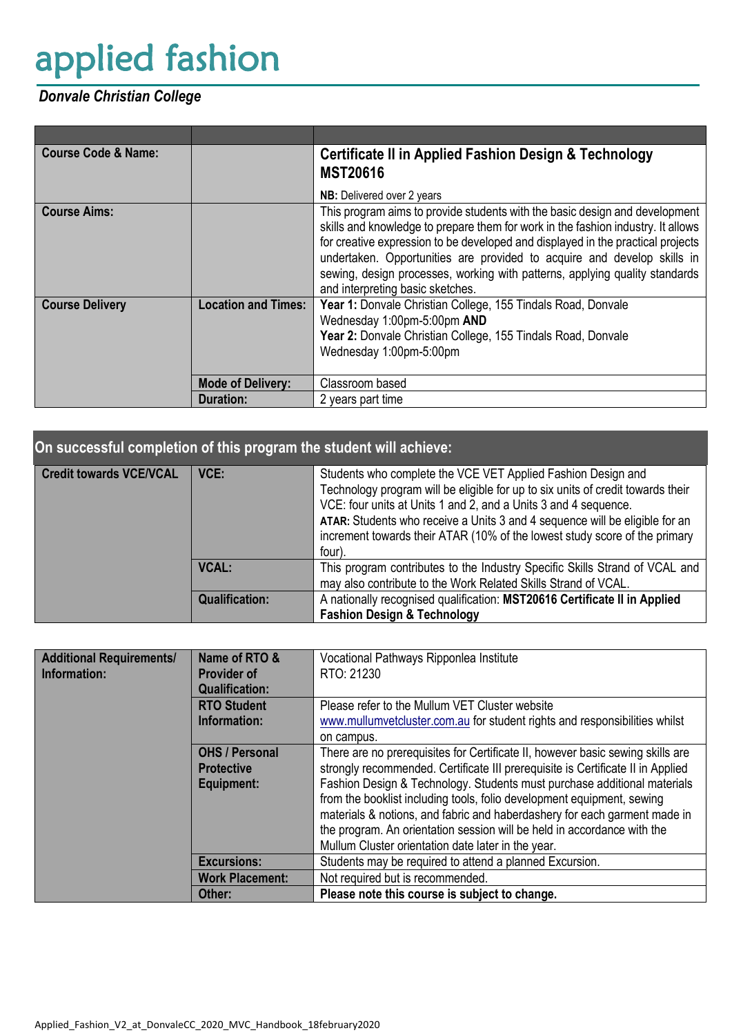# applied fashion

## *Donvale Christian College*

| <b>Course Code &amp; Name:</b> |                            | <b>Certificate II in Applied Fashion Design &amp; Technology</b><br><b>MST20616</b>                                                                                                                                                                                                                                                                                                                                                              |  |
|--------------------------------|----------------------------|--------------------------------------------------------------------------------------------------------------------------------------------------------------------------------------------------------------------------------------------------------------------------------------------------------------------------------------------------------------------------------------------------------------------------------------------------|--|
|                                |                            | <b>NB:</b> Delivered over 2 years                                                                                                                                                                                                                                                                                                                                                                                                                |  |
| <b>Course Aims:</b>            |                            | This program aims to provide students with the basic design and development<br>skills and knowledge to prepare them for work in the fashion industry. It allows<br>for creative expression to be developed and displayed in the practical projects<br>undertaken. Opportunities are provided to acquire and develop skills in<br>sewing, design processes, working with patterns, applying quality standards<br>and interpreting basic sketches. |  |
| <b>Course Delivery</b>         | <b>Location and Times:</b> | Year 1: Donvale Christian College, 155 Tindals Road, Donvale<br>Wednesday 1:00pm-5:00pm AND<br>Year 2: Donvale Christian College, 155 Tindals Road, Donvale<br>Wednesday 1:00pm-5:00pm                                                                                                                                                                                                                                                           |  |
|                                | <b>Mode of Delivery:</b>   | Classroom based                                                                                                                                                                                                                                                                                                                                                                                                                                  |  |
|                                | <b>Duration:</b>           | 2 years part time                                                                                                                                                                                                                                                                                                                                                                                                                                |  |

| On successful completion of this program the student will achieve: |                       |                                                                                                                                                                                                                                                                                                                                                                                           |  |
|--------------------------------------------------------------------|-----------------------|-------------------------------------------------------------------------------------------------------------------------------------------------------------------------------------------------------------------------------------------------------------------------------------------------------------------------------------------------------------------------------------------|--|
| <b>Credit towards VCE/VCAL</b>                                     | <b>VCE:</b>           | Students who complete the VCE VET Applied Fashion Design and<br>Technology program will be eligible for up to six units of credit towards their<br>VCE: four units at Units 1 and 2, and a Units 3 and 4 sequence.<br>ATAR: Students who receive a Units 3 and 4 sequence will be eligible for an<br>increment towards their ATAR (10% of the lowest study score of the primary<br>four). |  |
|                                                                    | <b>VCAL:</b>          | This program contributes to the Industry Specific Skills Strand of VCAL and<br>may also contribute to the Work Related Skills Strand of VCAL.                                                                                                                                                                                                                                             |  |
|                                                                    | <b>Qualification:</b> | A nationally recognised qualification: MST20616 Certificate II in Applied<br><b>Fashion Design &amp; Technology</b>                                                                                                                                                                                                                                                                       |  |

| <b>Additional Requirements/</b><br>Information: | Name of RTO &<br><b>Provider of</b><br><b>Qualification:</b>    | Vocational Pathways Ripponlea Institute<br>RTO: 21230                                                                                                                                                                                                                                                                                                                                                                                                                                                                                 |
|-------------------------------------------------|-----------------------------------------------------------------|---------------------------------------------------------------------------------------------------------------------------------------------------------------------------------------------------------------------------------------------------------------------------------------------------------------------------------------------------------------------------------------------------------------------------------------------------------------------------------------------------------------------------------------|
|                                                 | <b>RTO Student</b><br>Information:                              | Please refer to the Mullum VET Cluster website<br>www.mullumvetcluster.com.au for student rights and responsibilities whilst<br>on campus.                                                                                                                                                                                                                                                                                                                                                                                            |
|                                                 | <b>OHS / Personal</b><br><b>Protective</b><br><b>Equipment:</b> | There are no prerequisites for Certificate II, however basic sewing skills are<br>strongly recommended. Certificate III prerequisite is Certificate II in Applied<br>Fashion Design & Technology. Students must purchase additional materials<br>from the booklist including tools, folio development equipment, sewing<br>materials & notions, and fabric and haberdashery for each garment made in<br>the program. An orientation session will be held in accordance with the<br>Mullum Cluster orientation date later in the year. |
|                                                 | <b>Excursions:</b>                                              | Students may be required to attend a planned Excursion.                                                                                                                                                                                                                                                                                                                                                                                                                                                                               |
|                                                 | <b>Work Placement:</b>                                          | Not required but is recommended.                                                                                                                                                                                                                                                                                                                                                                                                                                                                                                      |
|                                                 | Other:                                                          | Please note this course is subject to change.                                                                                                                                                                                                                                                                                                                                                                                                                                                                                         |